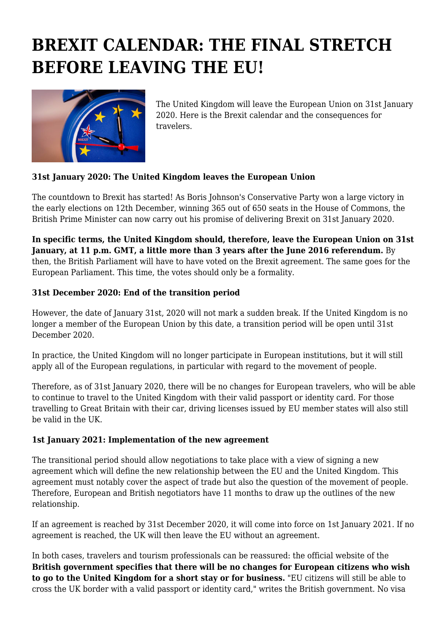## **BREXIT CALENDAR: THE FINAL STRETCH BEFORE LEAVING THE EU!**



The United Kingdom will leave the European Union on 31st January 2020. Here is the Brexit calendar and the consequences for travelers.

## **31st January 2020: The United Kingdom leaves the European Union**

The countdown to Brexit has started! As Boris Johnson's Conservative Party won a large victory in the early elections on 12th December, winning 365 out of 650 seats in the House of Commons, the British Prime Minister can now carry out his promise of delivering Brexit on 31st January 2020.

**In specific terms, the United Kingdom should, therefore, leave the European Union on 31st January, at 11 p.m. GMT, a little more than 3 years after the June 2016 referendum.** By then, the British Parliament will have to have voted on the Brexit agreement. The same goes for the European Parliament. This time, the votes should only be a formality.

## **31st December 2020: End of the transition period**

However, the date of January 31st, 2020 will not mark a sudden break. If the United Kingdom is no longer a member of the European Union by this date, a transition period will be open until 31st December 2020.

In practice, the United Kingdom will no longer participate in European institutions, but it will still apply all of the European regulations, in particular with regard to the movement of people.

Therefore, as of 31st January 2020, there will be no changes for European travelers, who will be able to continue to travel to the United Kingdom with their valid passport or identity card. For those travelling to Great Britain with their car, driving licenses issued by EU member states will also still be valid in the UK.

## **1st January 2021: Implementation of the new agreement**

The transitional period should allow negotiations to take place with a view of signing a new agreement which will define the new relationship between the EU and the United Kingdom. This agreement must notably cover the aspect of trade but also the question of the movement of people. Therefore, European and British negotiators have 11 months to draw up the outlines of the new relationship.

If an agreement is reached by 31st December 2020, it will come into force on 1st January 2021. If no agreement is reached, the UK will then leave the EU without an agreement.

In both cases, travelers and tourism professionals can be reassured: the official website of the **British government specifies that there will be no changes for European citizens who wish to go to the United Kingdom for a short stay or for business.** "EU citizens will still be able to cross the UK border with a valid passport or identity card," writes the British government. No visa